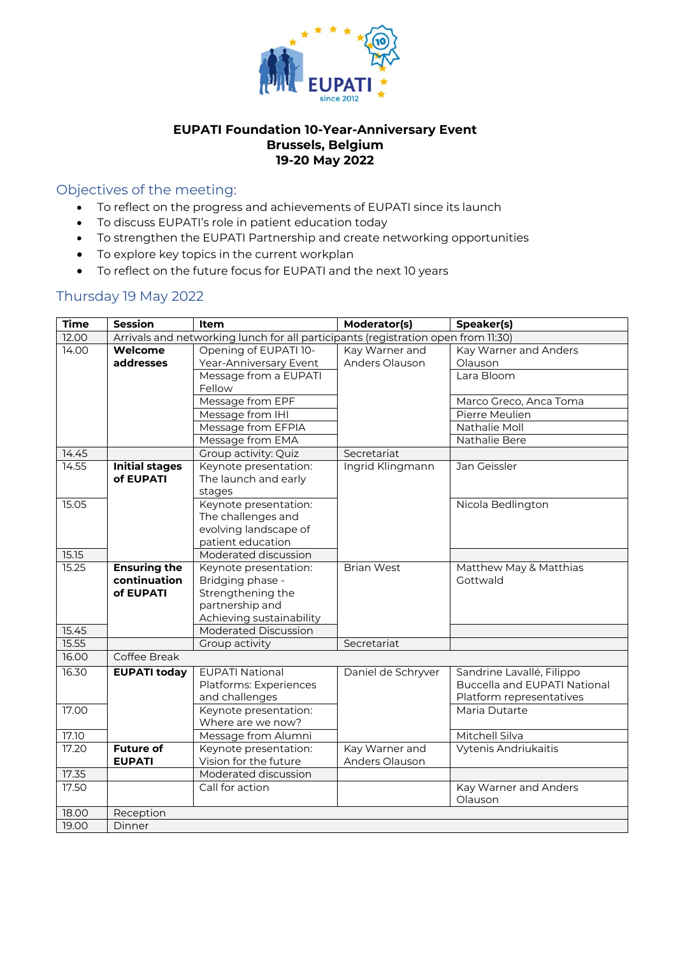

## **EUPATI Foundation 10-Year-Anniversary Event Brussels, Belgium 19-20 May 2022**

# Objectives of the meeting:

- To reflect on the progress and achievements of EUPATI since its launch
- To discuss EUPATI's role in patient education today
- To strengthen the EUPATI Partnership and create networking opportunities
- To explore key topics in the current workplan
- To reflect on the future focus for EUPATI and the next 10 years

## Thursday 19 May 2022

| <b>Time</b> | <b>Session</b>        | <b>Item</b>                                                                       | Moderator(s)       | Speaker(s)                          |
|-------------|-----------------------|-----------------------------------------------------------------------------------|--------------------|-------------------------------------|
| 12.00       |                       | Arrivals and networking lunch for all participants (registration open from 11:30) |                    |                                     |
| 14.00       | Welcome               | Opening of EUPATI 10-                                                             | Kay Warner and     | Kay Warner and Anders               |
|             | addresses             | Year-Anniversary Event                                                            | Anders Olauson     | Olauson                             |
|             |                       | Message from a EUPATI                                                             |                    | Lara Bloom                          |
|             |                       | Fellow                                                                            |                    |                                     |
|             |                       | Message from EPF                                                                  |                    | Marco Greco, Anca Toma              |
|             |                       | Message from IHI                                                                  |                    | Pierre Meulien                      |
|             |                       | Message from EFPIA                                                                |                    | Nathalie Moll                       |
|             |                       | Message from EMA                                                                  |                    | Nathalie Bere                       |
| 14.45       |                       | Group activity: Quiz                                                              | Secretariat        |                                     |
| 14.55       | <b>Initial stages</b> | Keynote presentation:                                                             | Ingrid Klingmann   | Jan Geissler                        |
|             | of EUPATI             | The launch and early                                                              |                    |                                     |
|             |                       | stages                                                                            |                    |                                     |
| 15.05       |                       | Keynote presentation:                                                             |                    | Nicola Bedlington                   |
|             |                       | The challenges and                                                                |                    |                                     |
|             |                       | evolving landscape of                                                             |                    |                                     |
|             |                       | patient education                                                                 |                    |                                     |
| 15.15       |                       | Moderated discussion                                                              |                    |                                     |
| 15.25       | <b>Ensuring the</b>   | Keynote presentation:                                                             | <b>Brian West</b>  | Matthew May & Matthias              |
|             | continuation          | Bridging phase -                                                                  |                    | Gottwald                            |
|             | of EUPATI             | Strengthening the                                                                 |                    |                                     |
|             |                       | partnership and                                                                   |                    |                                     |
|             |                       | Achieving sustainability                                                          |                    |                                     |
| 15.45       |                       | <b>Moderated Discussion</b>                                                       |                    |                                     |
| 15.55       |                       | Group activity                                                                    | Secretariat        |                                     |
| 16.00       | Coffee Break          |                                                                                   |                    |                                     |
| 16.30       | <b>EUPATI today</b>   | <b>EUPATI National</b>                                                            | Daniel de Schryver | Sandrine Lavallé, Filippo           |
|             |                       | Platforms: Experiences                                                            |                    | <b>Buccella and EUPATI National</b> |
|             |                       | and challenges                                                                    |                    | Platform representatives            |
| 17.00       |                       | Keynote presentation:                                                             |                    | Maria Dutarte                       |
|             |                       | Where are we now?                                                                 |                    |                                     |
| 17.10       |                       | Message from Alumni                                                               |                    | Mitchell Silva                      |
| 17.20       | <b>Future of</b>      | Keynote presentation:                                                             | Kay Warner and     | Vytenis Andriukaitis                |
|             | <b>EUPATI</b>         | Vision for the future                                                             | Anders Olauson     |                                     |
| 17.35       |                       | Moderated discussion                                                              |                    |                                     |
| 17.50       |                       | Call for action                                                                   |                    | Kay Warner and Anders               |
|             |                       |                                                                                   |                    | Olauson                             |
| 18.00       | Reception             |                                                                                   |                    |                                     |
| 19.00       | Dinner                |                                                                                   |                    |                                     |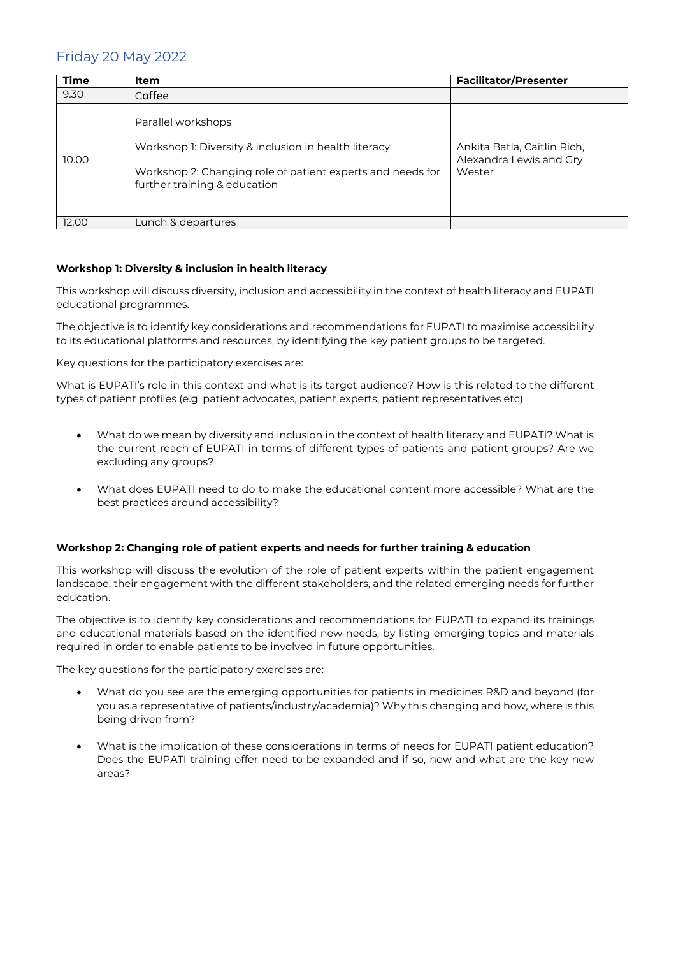## Friday 20 May 2022

| <b>Time</b> | Item                                                                                                                                                                     | <b>Facilitator/Presenter</b>                                     |
|-------------|--------------------------------------------------------------------------------------------------------------------------------------------------------------------------|------------------------------------------------------------------|
| 9.30        | Coffee                                                                                                                                                                   |                                                                  |
| 10.00       | Parallel workshops<br>Workshop 1: Diversity & inclusion in health literacy<br>Workshop 2: Changing role of patient experts and needs for<br>further training & education | Ankita Batla, Caitlin Rich,<br>Alexandra Lewis and Gry<br>Wester |
| 12.00       | Lunch & departures                                                                                                                                                       |                                                                  |

#### **Workshop 1: Diversity & inclusion in health literacy**

This workshop will discuss diversity, inclusion and accessibility in the context of health literacy and EUPATI educational programmes.

The objective is to identify key considerations and recommendations for EUPATI to maximise accessibility to its educational platforms and resources, by identifying the key patient groups to be targeted.

Key questions for the participatory exercises are:

What is EUPATI's role in this context and what is its target audience? How is this related to the different types of patient profiles (e.g. patient advocates, patient experts, patient representatives etc)

- What do we mean by diversity and inclusion in the context of health literacy and EUPATI? What is the current reach of EUPATI in terms of different types of patients and patient groups? Are we excluding any groups?
- What does EUPATI need to do to make the educational content more accessible? What are the best practices around accessibility?

#### **Workshop 2: Changing role of patient experts and needs for further training & education**

This workshop will discuss the evolution of the role of patient experts within the patient engagement landscape, their engagement with the different stakeholders, and the related emerging needs for further education.

The objective is to identify key considerations and recommendations for EUPATI to expand its trainings and educational materials based on the identified new needs, by listing emerging topics and materials required in order to enable patients to be involved in future opportunities.

The key questions for the participatory exercises are:

- What do you see are the emerging opportunities for patients in medicines R&D and beyond (for you as a representative of patients/industry/academia)? Why this changing and how, where is this being driven from?
- What is the implication of these considerations in terms of needs for EUPATI patient education? Does the EUPATI training offer need to be expanded and if so, how and what are the key new areas?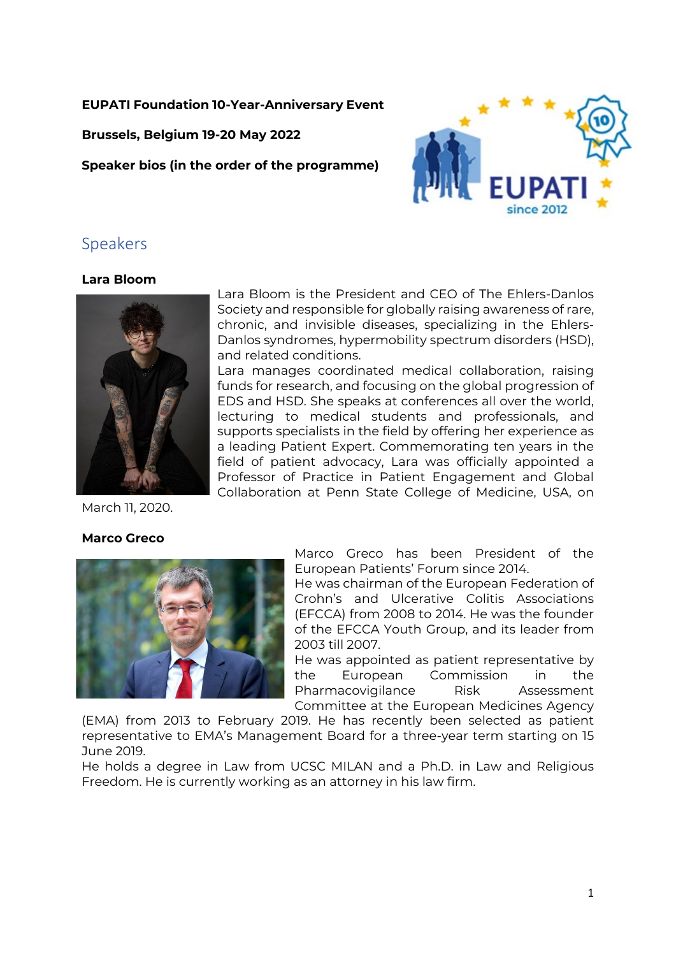## **EUPATI Foundation 10-Year-Anniversary Event**

**Brussels, Belgium 19-20 May 2022**

**Speaker bios (in the order of the programme)**



## **Lara Bloom**



Lara Bloom is the President and CEO of The Ehlers-Danlos Society and responsible for globally raising awareness of rare, chronic, and invisible diseases, specializing in the Ehlers-Danlos syndromes, hypermobility spectrum disorders (HSD), and related conditions.

Lara manages coordinated medical collaboration, raising funds for research, and focusing on the global progression of EDS and HSD. She speaks at conferences all over the world, lecturing to medical students and professionals, and supports specialists in the field by offering her experience as a leading Patient Expert. Commemorating ten years in the field of patient advocacy, Lara was officially appointed a Professor of Practice in Patient Engagement and Global Collaboration at Penn State College of Medicine, USA, on

March 11, 2020.

## **Marco Greco**



Marco Greco has been President of the European Patients' Forum since 2014.

He was chairman of the European Federation of Crohn's and Ulcerative Colitis Associations (EFCCA) from 2008 to 2014. He was the founder of the EFCCA Youth Group, and its leader from 2003 till 2007.

He was appointed as patient representative by the European Commission in the Pharmacovigilance Risk Assessment Committee at the European Medicines Agency

(EMA) from 2013 to February 2019. He has recently been selected as patient representative to EMA's Management Board for a three-year term starting on 15 June 2019.

He holds a degree in Law from UCSC MILAN and a Ph.D. in Law and Religious Freedom. He is currently working as an attorney in his law firm.

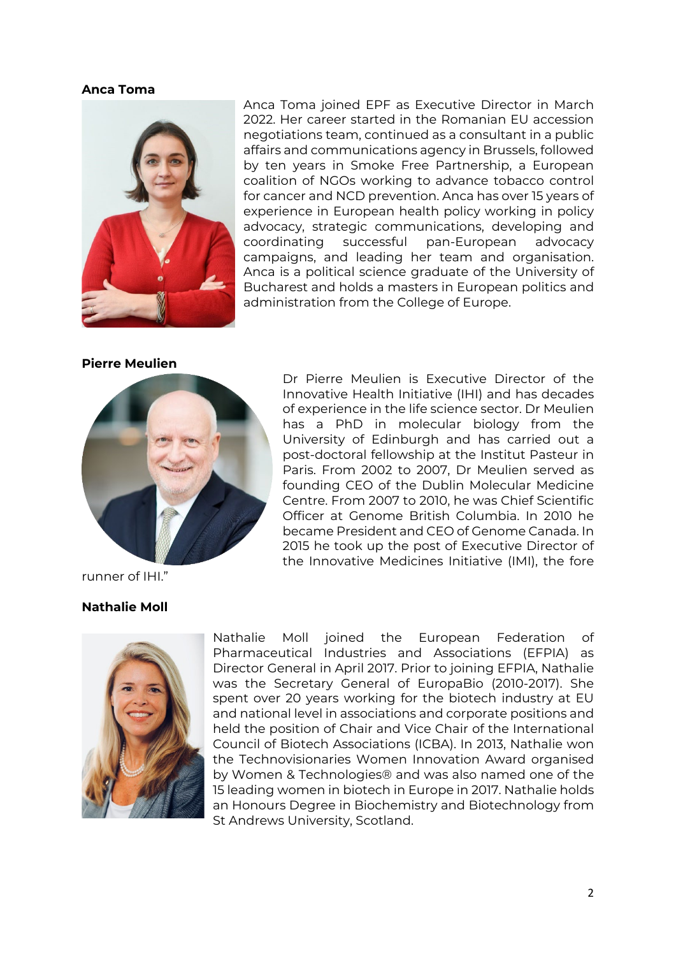#### **Anca Toma**



Anca Toma joined EPF as Executive Director in March 2022. Her career started in the Romanian EU accession negotiations team, continued as a consultant in a public affairs and communications agency in Brussels, followed by ten years in Smoke Free Partnership, a European coalition of NGOs working to advance tobacco control for cancer and NCD prevention. Anca has over 15 years of experience in European health policy working in policy advocacy, strategic communications, developing and coordinating successful pan-European advocacy campaigns, and leading her team and organisation. Anca is a political science graduate of the University of Bucharest and holds a masters in European politics and administration from the College of Europe.

#### **Pierre Meulien**



Dr Pierre Meulien is Executive Director of the Innovative Health Initiative (IHI) and has decades of experience in the life science sector. Dr Meulien has a PhD in molecular biology from the University of Edinburgh and has carried out a post-doctoral fellowship at the Institut Pasteur in Paris. From 2002 to 2007, Dr Meulien served as founding CEO of the Dublin Molecular Medicine Centre. From 2007 to 2010, he was Chief Scientific Officer at Genome British Columbia. In 2010 he became President and CEO of Genome Canada. In 2015 he took up the post of Executive Director of the Innovative Medicines Initiative (IMI), the fore

runner of IHI."

## **Nathalie Moll**



Nathalie Moll joined the European Federation of Pharmaceutical Industries and Associations (EFPIA) as Director General in April 2017. Prior to joining EFPIA, Nathalie was the Secretary General of EuropaBio (2010-2017). She spent over 20 years working for the biotech industry at EU and national level in associations and corporate positions and held the position of Chair and Vice Chair of the International Council of Biotech Associations (ICBA). In 2013, Nathalie won the Technovisionaries Women Innovation Award organised by Women & Technologies® and was also named one of the 15 leading women in biotech in Europe in 2017. Nathalie holds an Honours Degree in Biochemistry and Biotechnology from St Andrews University, Scotland.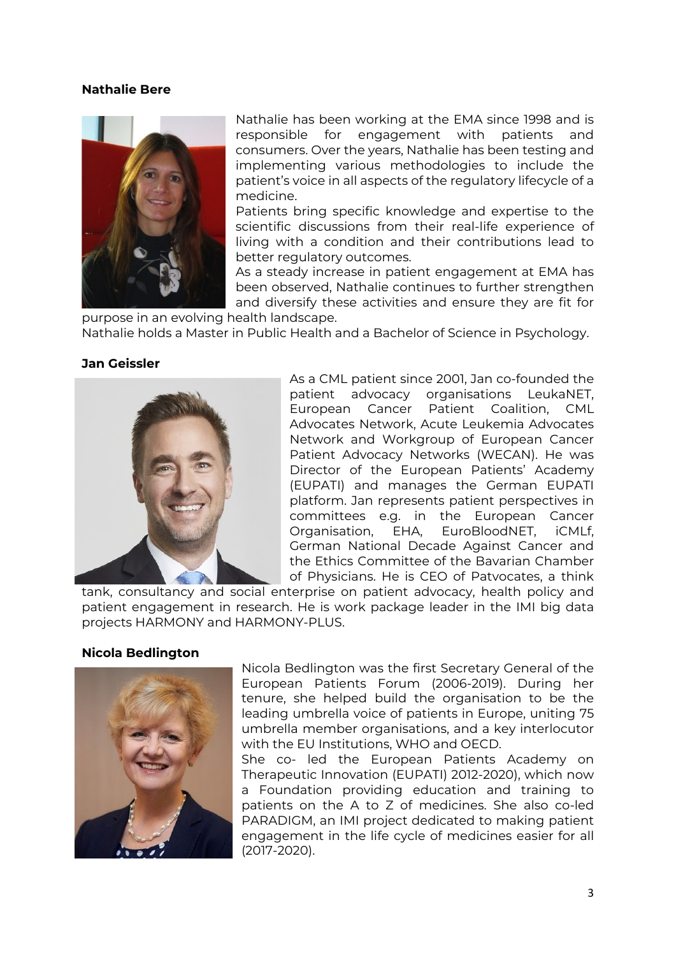### **Nathalie Bere**



Nathalie has been working at the EMA since 1998 and is responsible for engagement with patients and consumers. Over the years, Nathalie has been testing and implementing various methodologies to include the patient's voice in all aspects of the regulatory lifecycle of a medicine.

Patients bring specific knowledge and expertise to the scientific discussions from their real-life experience of living with a condition and their contributions lead to better regulatory outcomes.

As a steady increase in patient engagement at EMA has been observed, Nathalie continues to further strengthen and diversify these activities and ensure they are fit for

purpose in an evolving health landscape. Nathalie holds a Master in Public Health and a Bachelor of Science in Psychology.

#### **Jan Geissler**



As a CML patient since 2001, Jan co-founded the patient advocacy organisations LeukaNET, European Cancer Patient Coalition, CML Advocates Network, Acute Leukemia Advocates Network and Workgroup of European Cancer Patient Advocacy Networks (WECAN). He was Director of the European Patients' Academy (EUPATI) and manages the German EUPATI platform. Jan represents patient perspectives in committees e.g. in the European Cancer Organisation, EHA, EuroBloodNET, iCMLf, German National Decade Against Cancer and the Ethics Committee of the Bavarian Chamber of Physicians. He is CEO of Patvocates, a think

tank, consultancy and social enterprise on patient advocacy, health policy and patient engagement in research. He is work package leader in the IMI big data projects HARMONY and HARMONY-PLUS.

## **Nicola Bedlington**



Nicola Bedlington was the first Secretary General of the European Patients Forum (2006-2019). During her tenure, she helped build the organisation to be the leading umbrella voice of patients in Europe, uniting 75 umbrella member organisations, and a key interlocutor with the EU Institutions, WHO and OECD.

She co- led the European Patients Academy on Therapeutic Innovation (EUPATI) 2012-2020), which now a Foundation providing education and training to patients on the A to Z of medicines. She also co-led PARADIGM, an IMI project dedicated to making patient engagement in the life cycle of medicines easier for all (2017-2020).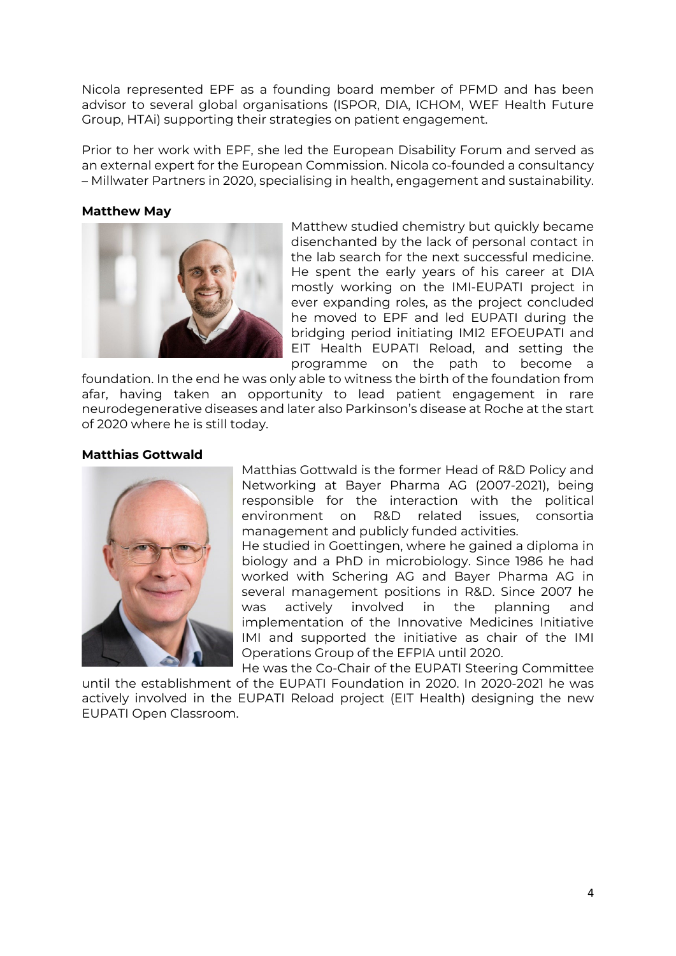Nicola represented EPF as a founding board member of PFMD and has been advisor to several global organisations (ISPOR, DIA, ICHOM, WEF Health Future Group, HTAi) supporting their strategies on patient engagement.

Prior to her work with EPF, she led the European Disability Forum and served as an external expert for the European Commission. Nicola co-founded a consultancy – Millwater Partners in 2020, specialising in health, engagement and sustainability.

### **Matthew May**



Matthew studied chemistry but quickly became disenchanted by the lack of personal contact in the lab search for the next successful medicine. He spent the early years of his career at DIA mostly working on the IMI-EUPATI project in ever expanding roles, as the project concluded he moved to EPF and led EUPATI during the bridging period initiating IMI2 EFOEUPATI and EIT Health EUPATI Reload, and setting the programme on the path to become a

foundation. In the end he was only able to witness the birth of the foundation from afar, having taken an opportunity to lead patient engagement in rare neurodegenerative diseases and later also Parkinson's disease at Roche at the start of 2020 where he is still today.

## **Matthias Gottwald**



Matthias Gottwald is the former Head of R&D Policy and Networking at Bayer Pharma AG (2007-2021), being responsible for the interaction with the political environment on R&D related issues, consortia management and publicly funded activities.

He studied in Goettingen, where he gained a diploma in biology and a PhD in microbiology. Since 1986 he had worked with Schering AG and Bayer Pharma AG in several management positions in R&D. Since 2007 he was actively involved in the planning and implementation of the Innovative Medicines Initiative IMI and supported the initiative as chair of the IMI Operations Group of the EFPIA until 2020.

He was the Co-Chair of the EUPATI Steering Committee until the establishment of the EUPATI Foundation in 2020. In 2020-2021 he was actively involved in the EUPATI Reload project (EIT Health) designing the new EUPATI Open Classroom.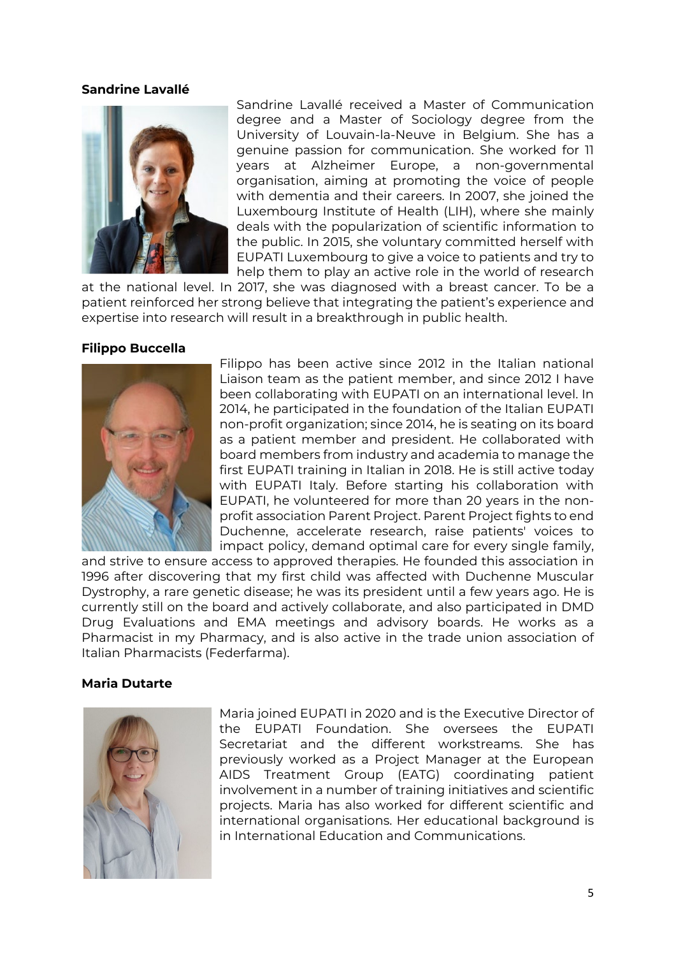### **Sandrine Lavallé**



Sandrine Lavallé received a Master of Communication degree and a Master of Sociology degree from the University of Louvain-la-Neuve in Belgium. She has a genuine passion for communication. She worked for 11 years at Alzheimer Europe, a non-governmental organisation, aiming at promoting the voice of people with dementia and their careers. In 2007, she joined the Luxembourg Institute of Health (LIH), where she mainly deals with the popularization of scientific information to the public. In 2015, she voluntary committed herself with EUPATI Luxembourg to give a voice to patients and try to help them to play an active role in the world of research

at the national level. In 2017, she was diagnosed with a breast cancer. To be a patient reinforced her strong believe that integrating the patient's experience and expertise into research will result in a breakthrough in public health.

## **Filippo Buccella**



Filippo has been active since 2012 in the Italian national Liaison team as the patient member, and since 2012 I have been collaborating with EUPATI on an international level. In 2014, he participated in the foundation of the Italian EUPATI non-profit organization; since 2014, he is seating on its board as a patient member and president. He collaborated with board members from industry and academia to manage the first EUPATI training in Italian in 2018. He is still active today with EUPATI Italy. Before starting his collaboration with EUPATI, he volunteered for more than 20 years in the nonprofit association Parent Project. Parent Project fights to end Duchenne, accelerate research, raise patients' voices to impact policy, demand optimal care for every single family,

and strive to ensure access to approved therapies. He founded this association in 1996 after discovering that my first child was affected with Duchenne Muscular Dystrophy, a rare genetic disease; he was its president until a few years ago. He is currently still on the board and actively collaborate, and also participated in DMD Drug Evaluations and EMA meetings and advisory boards. He works as a Pharmacist in my Pharmacy, and is also active in the trade union association of Italian Pharmacists (Federfarma).

#### **Maria Dutarte**



Maria joined EUPATI in 2020 and is the Executive Director of the EUPATI Foundation. She oversees the EUPATI Secretariat and the different workstreams. She has previously worked as a Project Manager at the European AIDS Treatment Group (EATG) coordinating patient involvement in a number of training initiatives and scientific projects. Maria has also worked for different scientific and international organisations. Her educational background is in International Education and Communications.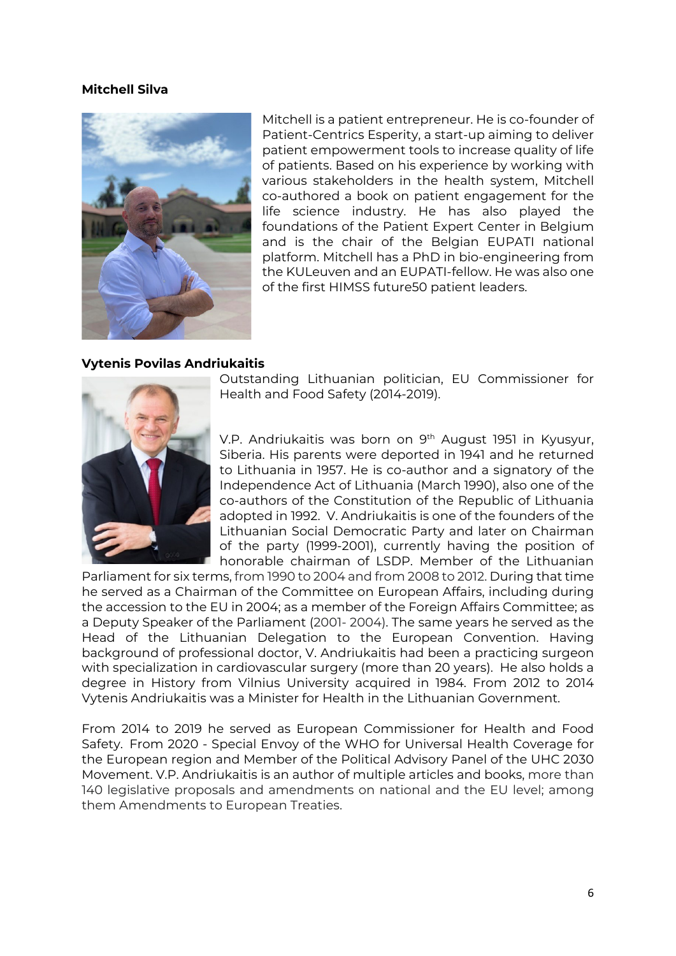## **Mitchell Silva**



Mitchell is a patient entrepreneur. He is co-founder of Patient-Centrics Esperity, a start-up aiming to deliver patient empowerment tools to increase quality of life of patients. Based on his experience by working with various stakeholders in the health system, Mitchell co-authored a book on patient engagement for the life science industry. He has also played the foundations of the Patient Expert Center in Belgium and is the chair of the Belgian EUPATI national platform. Mitchell has a PhD in bio-engineering from the KULeuven and an EUPATI-fellow. He was also one of the first HIMSS future50 patient leaders.

## **Vytenis Povilas Andriukaitis**



Outstanding Lithuanian politician, EU Commissioner for Health and Food Safety (2014-2019).

V.P. Andriukaitis was born on 9<sup>th</sup> August 1951 in Kyusyur, Siberia. His parents were deported in 1941 and he returned to Lithuania in 1957. He is co-author and a signatory of the Independence Act of Lithuania (March 1990), also one of the co-authors of the Constitution of the Republic of Lithuania adopted in 1992. V. Andriukaitis is one of the founders of the Lithuanian Social Democratic Party and later on Chairman of the party (1999-2001), currently having the position of honorable chairman of LSDP. Member of the Lithuanian

Parliament for six terms, from 1990 to 2004 and from 2008 to 2012. During that time he served as a Chairman of the Committee on European Affairs, including during the accession to the EU in 2004; as a member of the Foreign Affairs Committee; as a Deputy Speaker of the Parliament (2001- 2004). The same years he served as the Head of the Lithuanian Delegation to the European Convention. Having background of professional doctor, V. Andriukaitis had been a practicing surgeon with specialization in cardiovascular surgery (more than 20 years). He also holds a degree in History from Vilnius University acquired in 1984. From 2012 to 2014 Vytenis Andriukaitis was a Minister for Health in the Lithuanian Government.

From 2014 to 2019 he served as European Commissioner for Health and Food Safety. From 2020 - Special Envoy of the WHO for Universal Health Coverage for the European region and Member of the Political Advisory Panel of the UHC 2030 Movement. V.P. Andriukaitis is an author of multiple articles and books, more than 140 legislative proposals and amendments on national and the EU level; among them Amendments to European Treaties.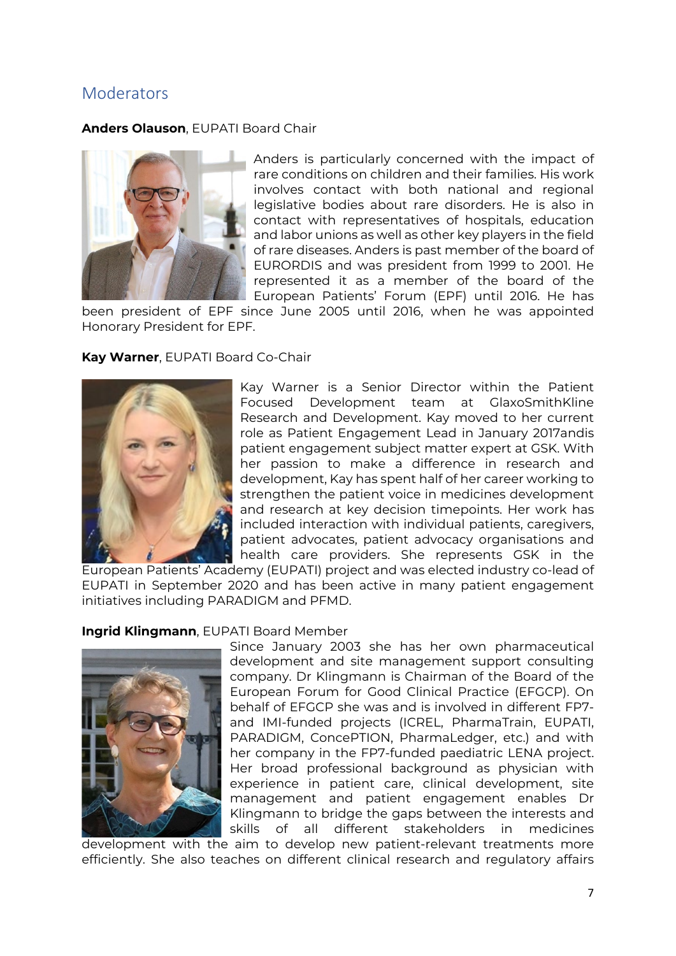# **Moderators**

**Anders Olauson**, EUPATI Board Chair



Anders is particularly concerned with the impact of rare conditions on children and their families. His work involves contact with both national and regional legislative bodies about rare disorders. He is also in contact with representatives of hospitals, education and labor unions as well as other key players in the field of rare diseases. Anders is past member of the board of EURORDIS and was president from 1999 to 2001. He represented it as a member of the board of the European Patients' Forum (EPF) until 2016. He has

been president of EPF since June 2005 until 2016, when he was appointed Honorary President for EPF.

## **Kay Warner**, EUPATI Board Co-Chair



Kay Warner is a Senior Director within the Patient Focused Development team at GlaxoSmithKline Research and Development. Kay moved to her current role as Patient Engagement Lead in January 2017andis patient engagement subject matter expert at GSK. With her passion to make a difference in research and development, Kay has spent half of her career working to strengthen the patient voice in medicines development and research at key decision timepoints. Her work has included interaction with individual patients, caregivers, patient advocates, patient advocacy organisations and health care providers. She represents GSK in the

European Patients' Academy (EUPATI) project and was elected industry co-lead of EUPATI in September 2020 and has been active in many patient engagement initiatives including PARADIGM and PFMD.

## **Ingrid Klingmann**, EUPATI Board Member



Since January 2003 she has her own pharmaceutical development and site management support consulting company. Dr Klingmann is Chairman of the Board of the European Forum for Good Clinical Practice (EFGCP). On behalf of EFGCP she was and is involved in different FP7 and IMI-funded projects (ICREL, PharmaTrain, EUPATI, PARADIGM, ConcePTION, PharmaLedger, etc.) and with her company in the FP7-funded paediatric LENA project. Her broad professional background as physician with experience in patient care, clinical development, site management and patient engagement enables Dr Klingmann to bridge the gaps between the interests and skills of all different stakeholders in medicines

development with the aim to develop new patient-relevant treatments more efficiently. She also teaches on different clinical research and regulatory affairs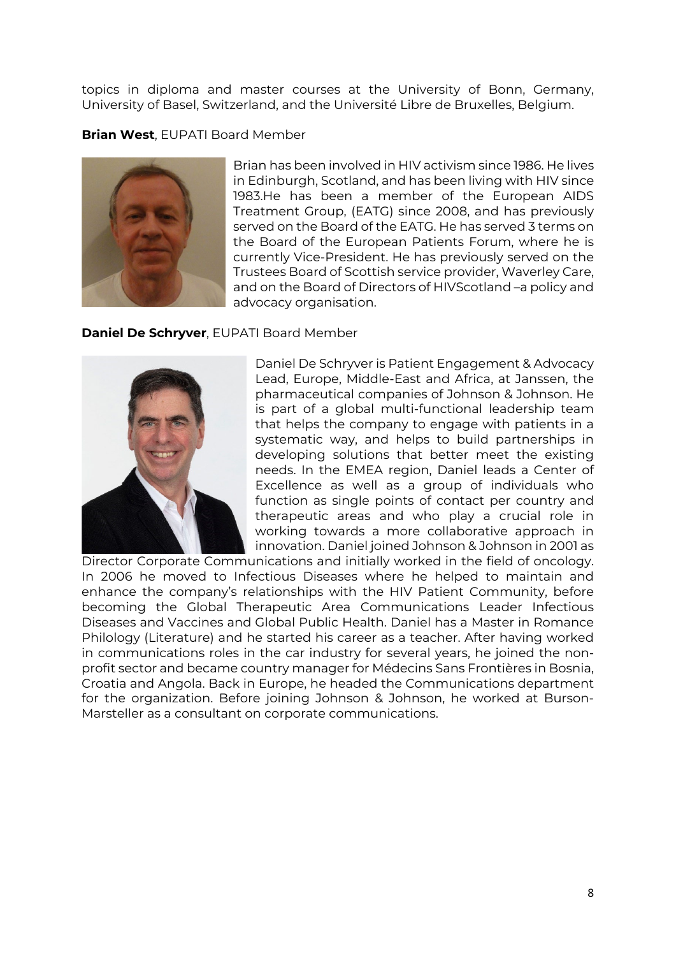topics in diploma and master courses at the University of Bonn, Germany, University of Basel, Switzerland, and the Université Libre de Bruxelles, Belgium.

## **Brian West**, EUPATI Board Member



Brian has been involved in HIV activism since 1986. He lives in Edinburgh, Scotland, and has been living with HIV since 1983.He has been a member of the European AIDS Treatment Group, (EATG) since 2008, and has previously served on the Board of the EATG. He has served 3 terms on the Board of the European Patients Forum, where he is currently Vice-President. He has previously served on the Trustees Board of Scottish service provider, Waverley Care, and on the Board of Directors of HIVScotland –a policy and advocacy organisation.

## **Daniel De Schryver**, EUPATI Board Member



Daniel De Schryver is Patient Engagement & Advocacy Lead, Europe, Middle-East and Africa, at Janssen, the pharmaceutical companies of Johnson & Johnson. He is part of a global multi-functional leadership team that helps the company to engage with patients in a systematic way, and helps to build partnerships in developing solutions that better meet the existing needs. In the EMEA region, Daniel leads a Center of Excellence as well as a group of individuals who function as single points of contact per country and therapeutic areas and who play a crucial role in working towards a more collaborative approach in innovation. Daniel joined Johnson & Johnson in 2001 as

Director Corporate Communications and initially worked in the field of oncology. In 2006 he moved to Infectious Diseases where he helped to maintain and enhance the company's relationships with the HIV Patient Community, before becoming the Global Therapeutic Area Communications Leader Infectious Diseases and Vaccines and Global Public Health. Daniel has a Master in Romance Philology (Literature) and he started his career as a teacher. After having worked in communications roles in the car industry for several years, he joined the nonprofit sector and became country manager for Médecins Sans Frontières in Bosnia, Croatia and Angola. Back in Europe, he headed the Communications department for the organization. Before joining Johnson & Johnson, he worked at Burson-Marsteller as a consultant on corporate communications.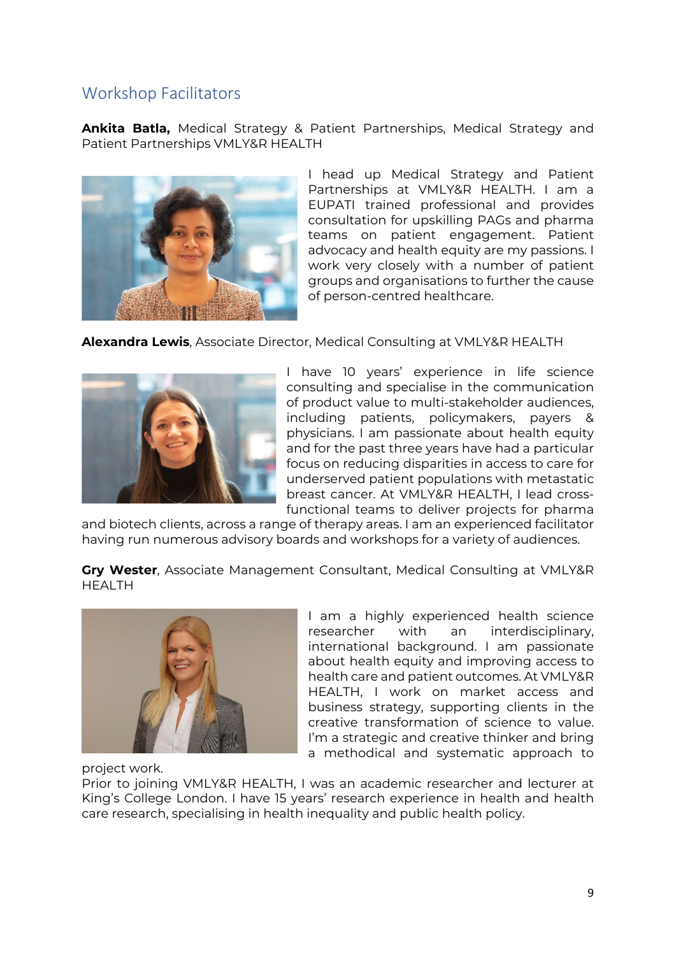# Workshop Facilitators

**Ankita Batla,** Medical Strategy & Patient Partnerships, Medical Strategy and Patient Partnerships VMLY&R HEALTH



I head up Medical Strategy and Patient Partnerships at VMLY&R HEALTH. I am a EUPATI trained professional and provides consultation for upskilling PAGs and pharma teams on patient engagement. Patient advocacy and health equity are my passions. I work very closely with a number of patient groups and organisations to further the cause of person-centred healthcare.

## **Alexandra Lewis**, Associate Director, Medical Consulting at VMLY&R HEALTH



I have 10 years' experience in life science consulting and specialise in the communication of product value to multi-stakeholder audiences, including patients, policymakers, payers & physicians. I am passionate about health equity and for the past three years have had a particular focus on reducing disparities in access to care for underserved patient populations with metastatic breast cancer. At VMLY&R HEALTH, I lead crossfunctional teams to deliver projects for pharma

and biotech clients, across a range of therapy areas. I am an experienced facilitator having run numerous advisory boards and workshops for a variety of audiences.

**Gry Wester**, Associate Management Consultant, Medical Consulting at VMLY&R HEALTH



I am a highly experienced health science researcher with an interdisciplinary, international background. I am passionate about health equity and improving access to health care and patient outcomes. At VMLY&R HEALTH, I work on market access and business strategy, supporting clients in the creative transformation of science to value. I'm a strategic and creative thinker and bring a methodical and systematic approach to

project work.

Prior to joining VMLY&R HEALTH, I was an academic researcher and lecturer at King's College London. I have 15 years' research experience in health and health care research, specialising in health inequality and public health policy.